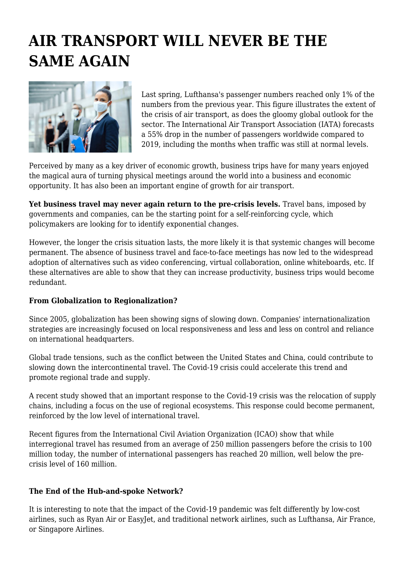## **AIR TRANSPORT WILL NEVER BE THE SAME AGAIN**



Last spring, Lufthansa's passenger numbers reached only 1% of the numbers from the previous year. This figure illustrates the extent of the crisis of air transport, as does the gloomy global outlook for the sector. The International Air Transport Association (IATA) forecasts a 55% drop in the number of passengers worldwide compared to 2019, including the months when traffic was still at normal levels.

Perceived by many as a key driver of economic growth, business trips have for many years enjoyed the magical aura of turning physical meetings around the world into a business and economic opportunity. It has also been an important engine of growth for air transport.

**Yet business travel may never again return to the pre-crisis levels.** Travel bans, imposed by governments and companies, can be the starting point for a self-reinforcing cycle, which policymakers are looking for to identify exponential changes.

However, the longer the crisis situation lasts, the more likely it is that systemic changes will become permanent. The absence of business travel and face-to-face meetings has now led to the widespread adoption of alternatives such as video conferencing, virtual collaboration, online whiteboards, etc. If these alternatives are able to show that they can increase productivity, business trips would become redundant.

## **From Globalization to Regionalization?**

Since 2005, globalization has been showing signs of slowing down. Companies' internationalization strategies are increasingly focused on local responsiveness and less and less on control and reliance on international headquarters.

Global trade tensions, such as the conflict between the United States and China, could contribute to slowing down the intercontinental travel. The Covid-19 crisis could accelerate this trend and promote regional trade and supply.

A recent study showed that an important response to the Covid-19 crisis was the relocation of supply chains, including a focus on the use of regional ecosystems. This response could become permanent, reinforced by the low level of international travel.

Recent figures from the International Civil Aviation Organization (ICAO) show that while interregional travel has resumed from an average of 250 million passengers before the crisis to 100 million today, the number of international passengers has reached 20 million, well below the precrisis level of 160 million.

## **The End of the Hub-and-spoke Network?**

It is interesting to note that the impact of the Covid-19 pandemic was felt differently by low-cost airlines, such as Ryan Air or EasyJet, and traditional network airlines, such as Lufthansa, Air France, or Singapore Airlines.